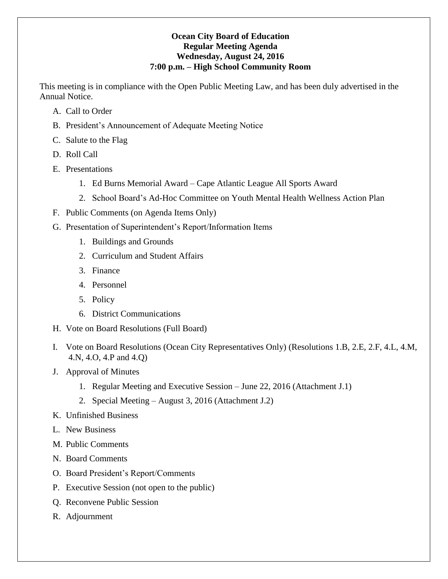#### **Ocean City Board of Education Regular Meeting Agenda Wednesday, August 24, 2016 7:00 p.m. – High School Community Room**

This meeting is in compliance with the Open Public Meeting Law, and has been duly advertised in the Annual Notice.

- A. Call to Order
- B. President's Announcement of Adequate Meeting Notice
- C. Salute to the Flag
- D. Roll Call
- E. Presentations
	- 1. Ed Burns Memorial Award Cape Atlantic League All Sports Award
	- 2. School Board's Ad-Hoc Committee on Youth Mental Health Wellness Action Plan
- F. Public Comments (on Agenda Items Only)
- G. Presentation of Superintendent's Report/Information Items
	- 1. Buildings and Grounds
	- 2. Curriculum and Student Affairs
	- 3. Finance
	- 4. Personnel
	- 5. Policy
	- 6. District Communications
- H. Vote on Board Resolutions (Full Board)
- I. Vote on Board Resolutions (Ocean City Representatives Only) (Resolutions 1.B, 2.E, 2.F, 4.L, 4.M, 4.N, 4.O, 4.P and 4.Q)
- J. Approval of Minutes
	- 1. Regular Meeting and Executive Session June 22, 2016 (Attachment J.1)
	- 2. Special Meeting August 3, 2016 (Attachment J.2)
- K. Unfinished Business
- L. New Business
- M. Public Comments
- N. Board Comments
- O. Board President's Report/Comments
- P. Executive Session (not open to the public)
- Q. Reconvene Public Session
- R. Adjournment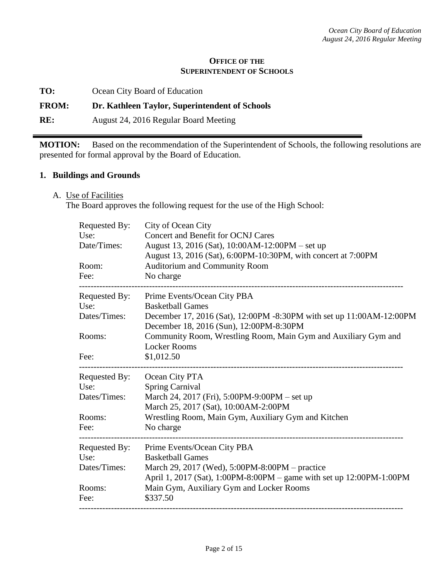#### **OFFICE OF THE SUPERINTENDENT OF SCHOOLS**

**TO:** Ocean City Board of Education

### **FROM: Dr. Kathleen Taylor, Superintendent of Schools**

**RE:** August 24, 2016 Regular Board Meeting

**MOTION:** Based on the recommendation of the Superintendent of Schools, the following resolutions are presented for formal approval by the Board of Education.

#### **1. Buildings and Grounds**

A. Use of Facilities

The Board approves the following request for the use of the High School:

| Requested By:<br>Use:<br>Date/Times:<br>Room:<br>Fee: | City of Ocean City<br><b>Concert and Benefit for OCNJ Cares</b><br>August 13, 2016 (Sat), 10:00AM-12:00PM – set up<br>August 13, 2016 (Sat), 6:00PM-10:30PM, with concert at 7:00PM<br>Auditorium and Community Room<br>No charge |
|-------------------------------------------------------|-----------------------------------------------------------------------------------------------------------------------------------------------------------------------------------------------------------------------------------|
| Requested By:<br>Use:                                 | Prime Events/Ocean City PBA<br><b>Basketball Games</b>                                                                                                                                                                            |
| Dates/Times:                                          | December 17, 2016 (Sat), 12:00PM -8:30PM with set up 11:00AM-12:00PM<br>December 18, 2016 (Sun), 12:00PM-8:30PM                                                                                                                   |
| Rooms:                                                | Community Room, Wrestling Room, Main Gym and Auxiliary Gym and<br><b>Locker Rooms</b>                                                                                                                                             |
| Fee:                                                  | \$1,012.50                                                                                                                                                                                                                        |
| Requested By:                                         | Ocean City PTA                                                                                                                                                                                                                    |
| Use:<br>Dates/Times:                                  | <b>Spring Carnival</b><br>March 24, 2017 (Fri), 5:00PM-9:00PM – set up<br>March 25, 2017 (Sat), 10:00AM-2:00PM                                                                                                                    |
| Rooms:                                                | Wrestling Room, Main Gym, Auxiliary Gym and Kitchen                                                                                                                                                                               |
| Fee:                                                  | No charge                                                                                                                                                                                                                         |
| Requested By:                                         | Prime Events/Ocean City PBA                                                                                                                                                                                                       |
| Use:<br>Dates/Times:                                  | <b>Basketball Games</b><br>March 29, 2017 (Wed), 5:00PM-8:00PM – practice<br>April 1, 2017 (Sat), 1:00PM-8:00PM – game with set up 12:00PM-1:00PM                                                                                 |
| Rooms:<br>Fee:                                        | Main Gym, Auxiliary Gym and Locker Rooms<br>\$337.50                                                                                                                                                                              |
|                                                       |                                                                                                                                                                                                                                   |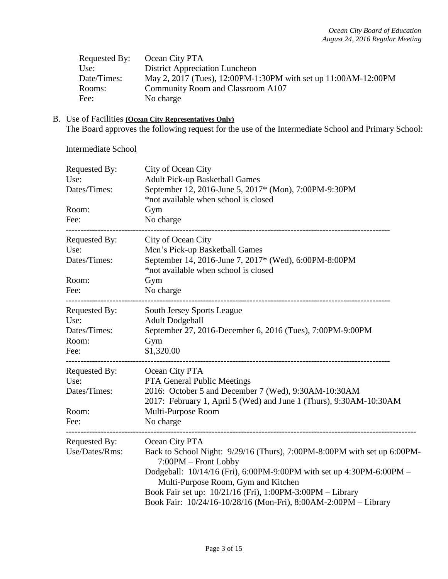| Requested By: | Ocean City PTA                                                 |
|---------------|----------------------------------------------------------------|
| Use:          | <b>District Appreciation Luncheon</b>                          |
| Date/Times:   | May 2, 2017 (Tues), 12:00PM-1:30PM with set up 11:00AM-12:00PM |
| Rooms:        | Community Room and Classroom A107                              |
| Fee:          | No charge                                                      |

# B. Use of Facilities **(Ocean City Representatives Only)**

The Board approves the following request for the use of the Intermediate School and Primary School:

Intermediate School

| Requested By:<br>Use:<br>Dates/Times:<br>Room:<br>Fee:        | City of Ocean City<br>Adult Pick-up Basketball Games<br>September 12, 2016-June 5, 2017* (Mon), 7:00PM-9:30PM<br>*not available when school is closed<br>Gym<br>No charge                                                                                                                                                                                         |
|---------------------------------------------------------------|-------------------------------------------------------------------------------------------------------------------------------------------------------------------------------------------------------------------------------------------------------------------------------------------------------------------------------------------------------------------|
| Requested By:<br>Use:<br>Dates/Times:<br>Room:<br>Fee:        | City of Ocean City<br>Men's Pick-up Basketball Games<br>September 14, 2016-June 7, 2017* (Wed), 6:00PM-8:00PM<br>*not available when school is closed<br>Gym<br>No charge                                                                                                                                                                                         |
| <b>Requested By:</b><br>Use:<br>Dates/Times:<br>Room:<br>Fee: | South Jersey Sports League<br><b>Adult Dodgeball</b><br>September 27, 2016-December 6, 2016 (Tues), 7:00PM-9:00PM<br>Gym<br>\$1,320.00                                                                                                                                                                                                                            |
| Requested By:<br>Use:<br>Dates/Times:<br>Room:<br>Fee:        | Ocean City PTA<br>PTA General Public Meetings<br>2016: October 5 and December 7 (Wed), 9:30AM-10:30AM<br>2017: February 1, April 5 (Wed) and June 1 (Thurs), 9:30AM-10:30AM<br>Multi-Purpose Room<br>No charge                                                                                                                                                    |
| Requested By:<br>Use/Dates/Rms:                               | Ocean City PTA<br>Back to School Night: 9/29/16 (Thurs), 7:00PM-8:00PM with set up 6:00PM-<br>7:00PM - Front Lobby<br>Dodgeball: 10/14/16 (Fri), 6:00PM-9:00PM with set up 4:30PM-6:00PM -<br>Multi-Purpose Room, Gym and Kitchen<br>Book Fair set up: 10/21/16 (Fri), 1:00PM-3:00PM - Library<br>Book Fair: 10/24/16-10/28/16 (Mon-Fri), 8:00AM-2:00PM - Library |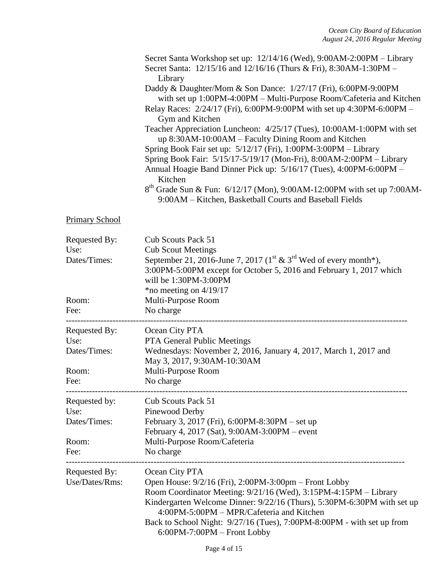|                                                        | Secret Santa Workshop set up: 12/14/16 (Wed), 9:00AM-2:00PM – Library<br>Secret Santa: 12/15/16 and 12/16/16 (Thurs & Fri), 8:30AM-1:30PM -                                                                                                                                                                                                                                    |
|--------------------------------------------------------|--------------------------------------------------------------------------------------------------------------------------------------------------------------------------------------------------------------------------------------------------------------------------------------------------------------------------------------------------------------------------------|
|                                                        | Library<br>Daddy & Daughter/Mom & Son Dance: 1/27/17 (Fri), 6:00PM-9:00PM<br>with set up 1:00PM-4:00PM – Multi-Purpose Room/Cafeteria and Kitchen<br>Relay Races: 2/24/17 (Fri), 6:00PM-9:00PM with set up 4:30PM-6:00PM -<br>Gym and Kitchen                                                                                                                                  |
|                                                        | Teacher Appreciation Luncheon: 4/25/17 (Tues), 10:00AM-1:00PM with set<br>up 8:30AM-10:00AM – Faculty Dining Room and Kitchen<br>Spring Book Fair set up: 5/12/17 (Fri), 1:00PM-3:00PM - Library<br>Spring Book Fair: 5/15/17-5/19/17 (Mon-Fri), 8:00AM-2:00PM - Library                                                                                                       |
|                                                        | Annual Hoagie Band Dinner Pick up: 5/16/17 (Tues), 4:00PM-6:00PM -<br>Kitchen<br>$8^{th}$ Grade Sun & Fun: 6/12/17 (Mon), 9:00AM-12:00PM with set up 7:00AM-<br>9:00AM – Kitchen, Basketball Courts and Baseball Fields                                                                                                                                                        |
| <b>Primary School</b>                                  |                                                                                                                                                                                                                                                                                                                                                                                |
| Requested By:<br>Use:<br>Dates/Times:                  | <b>Cub Scouts Pack 51</b><br><b>Cub Scout Meetings</b><br>September 21, 2016-June 7, 2017 ( $1^{\text{st}}$ & $3^{\text{rd}}$ Wed of every month*),<br>3:00PM-5:00PM except for October 5, 2016 and February 1, 2017 which<br>will be 1:30PM-3:00PM<br>*no meeting on $4/19/17$                                                                                                |
| Room:<br>Fee:                                          | Multi-Purpose Room<br>No charge                                                                                                                                                                                                                                                                                                                                                |
| Requested By:<br>Use:<br>Dates/Times:<br>Room:<br>Fee: | Ocean City PTA<br><b>PTA General Public Meetings</b><br>Wednesdays: November 2, 2016, January 4, 2017, March 1, 2017 and<br>May 3, 2017, 9:30AM-10:30AM<br>Multi-Purpose Room<br>No charge                                                                                                                                                                                     |
| Requested by:<br>Use:<br>Dates/Times:<br>Room:<br>Fee: | <b>Cub Scouts Pack 51</b><br>Pinewood Derby<br>February 3, 2017 (Fri), 6:00PM-8:30PM – set up<br>February 4, 2017 (Sat), 9:00AM-3:00PM – event<br>Multi-Purpose Room/Cafeteria<br>No charge                                                                                                                                                                                    |
| Requested By:<br>Use/Dates/Rms:                        | Ocean City PTA<br>Open House: $9/2/16$ (Fri), 2:00PM-3:00pm – Front Lobby<br>Room Coordinator Meeting: 9/21/16 (Wed), 3:15PM-4:15PM – Library<br>Kindergarten Welcome Dinner: 9/22/16 (Thurs), 5:30PM-6:30PM with set up<br>4:00PM-5:00PM – MPR/Cafeteria and Kitchen<br>Back to School Night: 9/27/16 (Tues), 7:00PM-8:00PM - with set up from<br>6:00PM-7:00PM - Front Lobby |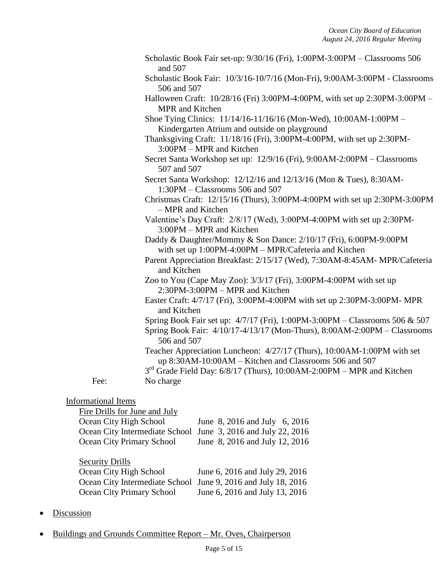|      | Scholastic Book Fair set-up: 9/30/16 (Fri), 1:00PM-3:00PM - Classrooms 506<br>and 507                                                                    |
|------|----------------------------------------------------------------------------------------------------------------------------------------------------------|
|      | Scholastic Book Fair: 10/3/16-10/7/16 (Mon-Fri), 9:00AM-3:00PM - Classrooms<br>506 and 507                                                               |
|      | Halloween Craft: 10/28/16 (Fri) 3:00PM-4:00PM, with set up 2:30PM-3:00PM -<br>MPR and Kitchen                                                            |
|      | Shoe Tying Clinics: 11/14/16-11/16/16 (Mon-Wed), 10:00AM-1:00PM -<br>Kindergarten Atrium and outside on playground                                       |
|      | Thanksgiving Craft: 11/18/16 (Fri), 3:00PM-4:00PM, with set up 2:30PM-<br>3:00PM – MPR and Kitchen                                                       |
|      | Secret Santa Workshop set up: 12/9/16 (Fri), 9:00AM-2:00PM – Classrooms<br>507 and 507                                                                   |
|      | Secret Santa Workshop: 12/12/16 and 12/13/16 (Mon & Tues), 8:30AM-<br>1:30PM - Classrooms 506 and 507                                                    |
|      | Christmas Craft: 12/15/16 (Thurs), 3:00PM-4:00PM with set up 2:30PM-3:00PM<br>- MPR and Kitchen                                                          |
|      | Valentine's Day Craft: 2/8/17 (Wed), 3:00PM-4:00PM with set up 2:30PM-<br>3:00PM – MPR and Kitchen                                                       |
|      | Daddy & Daughter/Mommy & Son Dance: 2/10/17 (Fri), 6:00PM-9:00PM<br>with set up 1:00PM-4:00PM - MPR/Cafeteria and Kitchen                                |
|      | Parent Appreciation Breakfast: 2/15/17 (Wed), 7:30AM-8:45AM- MPR/Cafeteria<br>and Kitchen                                                                |
|      | Zoo to You (Cape May Zoo): 3/3/17 (Fri), 3:00PM-4:00PM with set up<br>2:30PM-3:00PM - MPR and Kitchen                                                    |
|      | Easter Craft: 4/7/17 (Fri), 3:00PM-4:00PM with set up 2:30PM-3:00PM- MPR<br>and Kitchen                                                                  |
|      | Spring Book Fair set up: 4/7/17 (Fri), 1:00PM-3:00PM - Classrooms 506 & 507<br>Spring Book Fair: 4/10/17-4/13/17 (Mon-Thurs), 8:00AM-2:00PM - Classrooms |
|      | 506 and 507<br>Teacher Appreciation Luncheon: 4/27/17 (Thurs), 10:00AM-1:00PM with set                                                                   |
|      | up 8:30AM-10:00AM - Kitchen and Classrooms 506 and 507<br>$3rd$ Grade Field Day: 6/8/17 (Thurs), 10:00AM-2:00PM – MPR and Kitchen                        |
| Fee: | No charge                                                                                                                                                |

| <b>Informational Items</b> |  |
|----------------------------|--|
|                            |  |

| Fire Drills for June and July                                 |                                |  |
|---------------------------------------------------------------|--------------------------------|--|
| Ocean City High School                                        | June 8, 2016 and July 6, 2016  |  |
| Ocean City Intermediate School June 3, 2016 and July 22, 2016 |                                |  |
| <b>Ocean City Primary School</b>                              | June 8, 2016 and July 12, 2016 |  |

## **Security Drills**

| Ocean City High School                                        | June 6, 2016 and July 29, 2016 |
|---------------------------------------------------------------|--------------------------------|
| Ocean City Intermediate School June 9, 2016 and July 18, 2016 |                                |
| <b>Ocean City Primary School</b>                              | June 6, 2016 and July 13, 2016 |

- Discussion
- Buildings and Grounds Committee Report Mr. Oves, Chairperson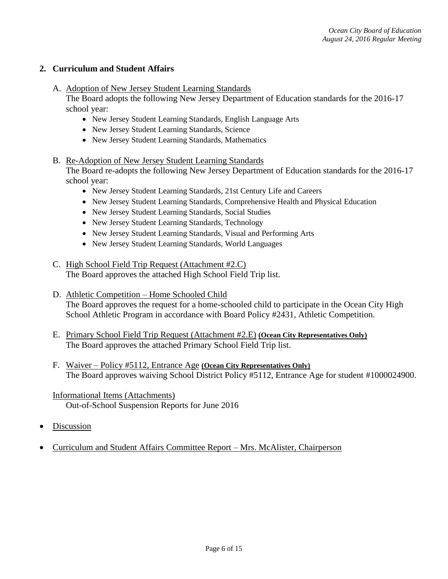### **2. Curriculum and Student Affairs**

- A. Adoption of New Jersey Student Learning Standards
	- The Board adopts the following New Jersey Department of Education standards for the 2016-17 school year:
		- New Jersey Student Learning Standards, English Language Arts
		- New Jersey Student Learning Standards, Science
		- New Jersey Student Learning Standards, Mathematics
- B. Re-Adoption of New Jersey Student Learning Standards

The Board re-adopts the following New Jersey Department of Education standards for the 2016-17 school year:

- New Jersey Student Learning Standards, 21st Century Life and Careers
- New Jersey Student Learning Standards, Comprehensive Health and Physical Education
- New Jersey Student Learning Standards, Social Studies
- New Jersey Student Learning Standards, Technology
- New Jersey Student Learning Standards, Visual and Performing Arts
- New Jersey Student Learning Standards, World Languages
- C. High School Field Trip Request (Attachment #2.C) The Board approves the attached High School Field Trip list.
- D. Athletic Competition Home Schooled Child The Board approves the request for a home-schooled child to participate in the Ocean City High School Athletic Program in accordance with Board Policy #2431, Athletic Competition.
- E. Primary School Field Trip Request (Attachment #2.E) **(Ocean City Representatives Only)** The Board approves the attached Primary School Field Trip list.
- F. Waiver Policy #5112, Entrance Age **(Ocean City Representatives Only)**  The Board approves waiving School District Policy #5112, Entrance Age for student #1000024900.
- Informational Items (Attachments) Out-of-School Suspension Reports for June 2016
- Discussion
- Curriculum and Student Affairs Committee Report Mrs. McAlister, Chairperson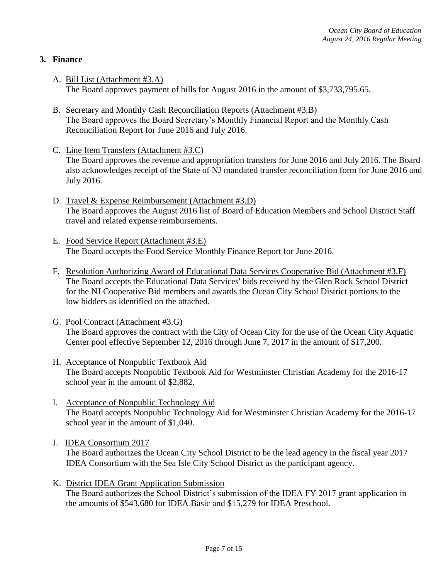### **3. Finance**

- A. Bill List (Attachment #3.A) The Board approves payment of bills for August 2016 in the amount of \$3,733,795.65.
- B. Secretary and Monthly Cash Reconciliation Reports (Attachment #3.B) The Board approves the Board Secretary's Monthly Financial Report and the Monthly Cash Reconciliation Report for June 2016 and July 2016.
- C. Line Item Transfers (Attachment #3.C) The Board approves the revenue and appropriation transfers for June 2016 and July 2016. The Board also acknowledges receipt of the State of NJ mandated transfer reconciliation form for June 2016 and July 2016.
- D. Travel & Expense Reimbursement (Attachment #3.D) The Board approves the August 2016 list of Board of Education Members and School District Staff travel and related expense reimbursements.
- E. Food Service Report (Attachment #3.E) The Board accepts the Food Service Monthly Finance Report for June 2016.
- F. Resolution Authorizing Award of Educational Data Services Cooperative Bid (Attachment #3.F) The Board accepts the Educational Data Services' bids received by the Glen Rock School District for the NJ Cooperative Bid members and awards the Ocean City School District portions to the low bidders as identified on the attached.
- G. Pool Contract (Attachment #3.G) The Board approves the contract with the City of Ocean City for the use of the Ocean City Aquatic Center pool effective September 12, 2016 through June 7, 2017 in the amount of \$17,200.
- H. Acceptance of Nonpublic Textbook Aid The Board accepts Nonpublic Textbook Aid for Westminster Christian Academy for the 2016-17 school year in the amount of \$2,882.
- I. Acceptance of Nonpublic Technology Aid The Board accepts Nonpublic Technology Aid for Westminster Christian Academy for the 2016-17 school year in the amount of \$1,040.
- J. IDEA Consortium 2017

The Board authorizes the Ocean City School District to be the lead agency in the fiscal year 2017 IDEA Consortium with the Sea Isle City School District as the participant agency.

K. District IDEA Grant Application Submission The Board authorizes the School District's submission of the IDEA FY 2017 grant application in the amounts of \$543,680 for IDEA Basic and \$15,279 for IDEA Preschool.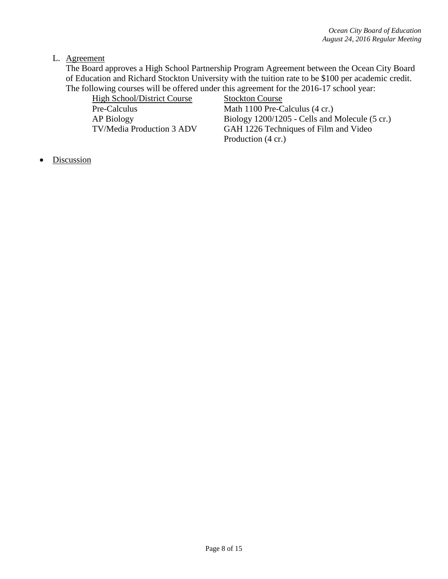L. Agreement

The Board approves a High School Partnership Program Agreement between the Ocean City Board of Education and Richard Stockton University with the tuition rate to be \$100 per academic credit. The following courses will be offered under this agreement for the 2016-17 school year:

| <b>High School/District Course</b> | <b>Stockton Course</b>                         |
|------------------------------------|------------------------------------------------|
| Pre-Calculus                       | Math 1100 Pre-Calculus (4 cr.)                 |
| AP Biology                         | Biology 1200/1205 - Cells and Molecule (5 cr.) |
| TV/Media Production 3 ADV          | GAH 1226 Techniques of Film and Video          |
|                                    | Production (4 cr.)                             |

• Discussion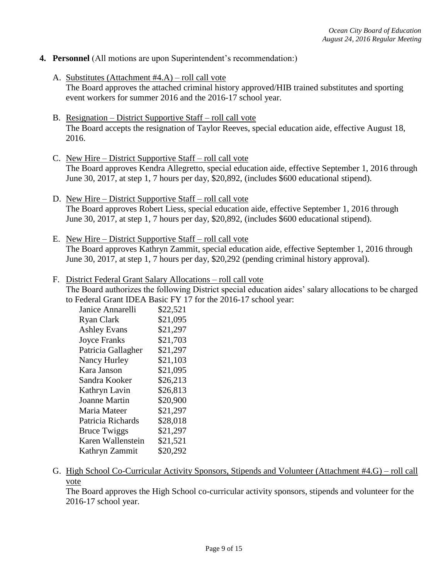- **4. Personnel** (All motions are upon Superintendent's recommendation:)
	- A. Substitutes (Attachment #4.A) roll call vote The Board approves the attached criminal history approved/HIB trained substitutes and sporting event workers for summer 2016 and the 2016-17 school year.
	- B. Resignation District Supportive Staff roll call vote The Board accepts the resignation of Taylor Reeves, special education aide, effective August 18, 2016.
	- C. New Hire District Supportive Staff roll call vote The Board approves Kendra Allegretto, special education aide, effective September 1, 2016 through June 30, 2017, at step 1, 7 hours per day, \$20,892, (includes \$600 educational stipend).
	- D. New Hire District Supportive Staff roll call vote The Board approves Robert Liess, special education aide, effective September 1, 2016 through June 30, 2017, at step 1, 7 hours per day, \$20,892, (includes \$600 educational stipend).
	- E. New Hire District Supportive Staff roll call vote The Board approves Kathryn Zammit, special education aide, effective September 1, 2016 through June 30, 2017, at step 1, 7 hours per day, \$20,292 (pending criminal history approval).
	- F. District Federal Grant Salary Allocations roll call vote The Board authorizes the following District special education aides' salary allocations to be charged to Federal Grant IDEA Basic FY 17 for the 2016-17 school year:

| Janice Annarelli     | \$22,521 |
|----------------------|----------|
| Ryan Clark           | \$21,095 |
| <b>Ashley Evans</b>  | \$21,297 |
| <b>Joyce Franks</b>  | \$21,703 |
| Patricia Gallagher   | \$21,297 |
| Nancy Hurley         | \$21,103 |
| Kara Janson          | \$21,095 |
| Sandra Kooker        | \$26,213 |
| Kathryn Lavin        | \$26,813 |
| <b>Joanne Martin</b> | \$20,900 |
| Maria Mateer         | \$21,297 |
| Patricia Richards    | \$28,018 |
| <b>Bruce Twiggs</b>  | \$21,297 |
| Karen Wallenstein    | \$21,521 |
| Kathryn Zammit       | \$20,292 |
|                      |          |

G. High School Co-Curricular Activity Sponsors, Stipends and Volunteer (Attachment #4.G) – roll call vote

The Board approves the High School co-curricular activity sponsors, stipends and volunteer for the 2016-17 school year.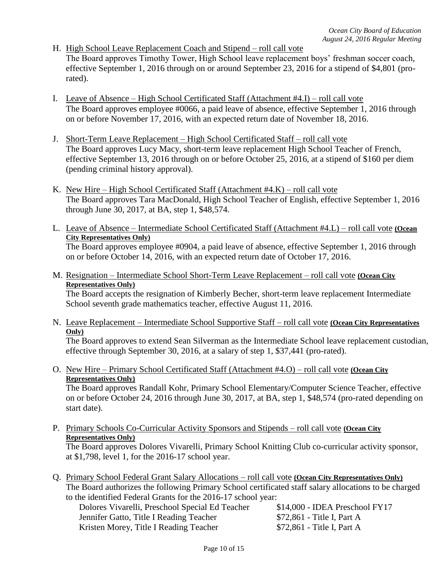H. High School Leave Replacement Coach and Stipend – roll call vote

The Board approves Timothy Tower, High School leave replacement boys' freshman soccer coach, effective September 1, 2016 through on or around September 23, 2016 for a stipend of \$4,801 (prorated).

- I. Leave of Absence High School Certificated Staff (Attachment #4.I) roll call vote The Board approves employee #0066, a paid leave of absence, effective September 1, 2016 through on or before November 17, 2016, with an expected return date of November 18, 2016.
- J. Short-Term Leave Replacement High School Certificated Staff roll call vote The Board approves Lucy Macy, short-term leave replacement High School Teacher of French, effective September 13, 2016 through on or before October 25, 2016, at a stipend of \$160 per diem (pending criminal history approval).
- K. New Hire High School Certificated Staff (Attachment  $#4.K$ ) roll call vote The Board approves Tara MacDonald, High School Teacher of English, effective September 1, 2016 through June 30, 2017, at BA, step 1, \$48,574.
- L. Leave of Absence Intermediate School Certificated Staff (Attachment #4.L) roll call vote **(Ocean City Representatives Only)** The Board approves employee #0904, a paid leave of absence, effective September 1, 2016 through on or before October 14, 2016, with an expected return date of October 17, 2016.
- M. Resignation Intermediate School Short-Term Leave Replacement roll call vote **(Ocean City Representatives Only)**

The Board accepts the resignation of Kimberly Becher, short-term leave replacement Intermediate School seventh grade mathematics teacher, effective August 11, 2016.

N. Leave Replacement – Intermediate School Supportive Staff – roll call vote **(Ocean City Representatives Only)**

The Board approves to extend Sean Silverman as the Intermediate School leave replacement custodian, effective through September 30, 2016, at a salary of step 1, \$37,441 (pro-rated).

O. New Hire – Primary School Certificated Staff (Attachment #4.O) – roll call vote **(Ocean City Representatives Only)**

The Board approves Randall Kohr, Primary School Elementary/Computer Science Teacher, effective on or before October 24, 2016 through June 30, 2017, at BA, step 1, \$48,574 (pro-rated depending on start date).

P. Primary Schools Co-Curricular Activity Sponsors and Stipends – roll call vote **(Ocean City Representatives Only)**

The Board approves Dolores Vivarelli, Primary School Knitting Club co-curricular activity sponsor, at \$1,798, level 1, for the 2016-17 school year.

Q. Primary School Federal Grant Salary Allocations – roll call vote **(Ocean City Representatives Only)** The Board authorizes the following Primary School certificated staff salary allocations to be charged to the identified Federal Grants for the 2016-17 school year:

Dolores Vivarelli, Preschool Special Ed Teacher \$14,000 - IDEA Preschool FY17 Jennifer Gatto, Title I Reading Teacher \$72,861 - Title I, Part A Kristen Morey, Title I Reading Teacher \$72,861 - Title I, Part A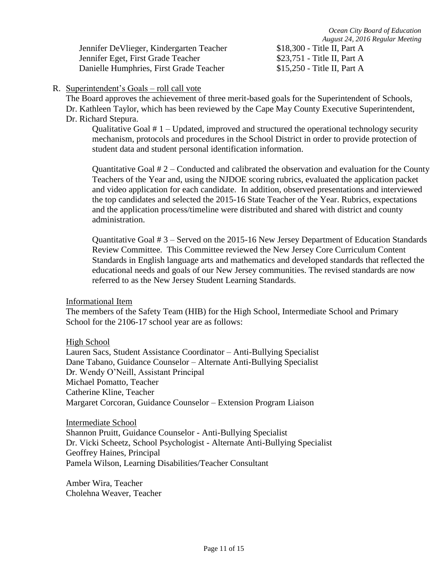Jennifer DeVlieger, Kindergarten Teacher \$18,300 - Title II, Part A Jennifer Eget, First Grade Teacher \$23,751 - Title II, Part A Danielle Humphries, First Grade Teacher \$15,250 - Title II, Part A

R. Superintendent's Goals – roll call vote

The Board approves the achievement of three merit-based goals for the Superintendent of Schools, Dr. Kathleen Taylor, which has been reviewed by the Cape May County Executive Superintendent, Dr. Richard Stepura.

Qualitative Goal # 1 – Updated, improved and structured the operational technology security mechanism, protocols and procedures in the School District in order to provide protection of student data and student personal identification information.

Quantitative Goal  $# 2$  – Conducted and calibrated the observation and evaluation for the County Teachers of the Year and, using the NJDOE scoring rubrics, evaluated the application packet and video application for each candidate. In addition, observed presentations and interviewed the top candidates and selected the 2015-16 State Teacher of the Year. Rubrics, expectations and the application process/timeline were distributed and shared with district and county administration.

Quantitative Goal # 3 – Served on the 2015-16 New Jersey Department of Education Standards Review Committee. This Committee reviewed the New Jersey Core Curriculum Content Standards in English language arts and mathematics and developed standards that reflected the educational needs and goals of our New Jersey communities. The revised standards are now referred to as the New Jersey Student Learning Standards.

Informational Item

The members of the Safety Team (HIB) for the High School, Intermediate School and Primary School for the 2106-17 school year are as follows:

High School

Lauren Sacs, Student Assistance Coordinator – Anti-Bullying Specialist Dane Tabano, Guidance Counselor – Alternate Anti-Bullying Specialist Dr. Wendy O'Neill, Assistant Principal Michael Pomatto, Teacher Catherine Kline, Teacher Margaret Corcoran, Guidance Counselor – Extension Program Liaison

Intermediate School Shannon Pruitt, Guidance Counselor - Anti-Bullying Specialist Dr. Vicki Scheetz, School Psychologist - Alternate Anti-Bullying Specialist Geoffrey Haines, Principal Pamela Wilson, Learning Disabilities/Teacher Consultant

Amber Wira, Teacher Cholehna Weaver, Teacher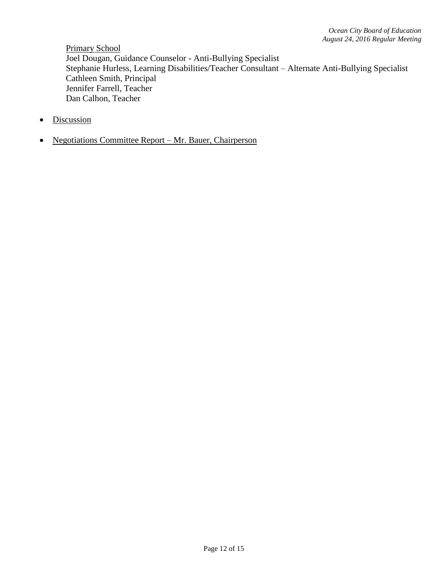Primary School Joel Dougan, Guidance Counselor - Anti-Bullying Specialist Stephanie Hurless, Learning Disabilities/Teacher Consultant – Alternate Anti-Bullying Specialist Cathleen Smith, Principal Jennifer Farrell, Teacher Dan Calhon, Teacher

- Discussion
- Negotiations Committee Report Mr. Bauer, Chairperson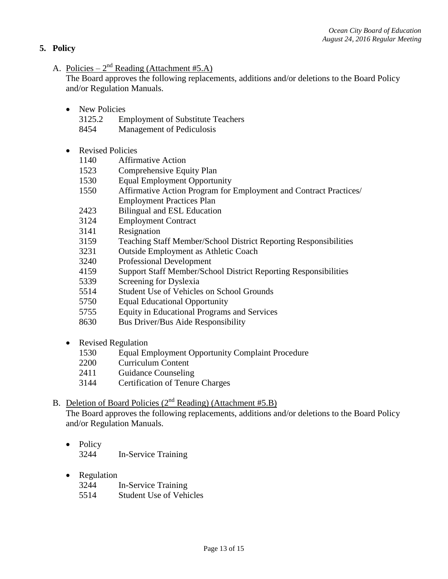### **5. Policy**

A. Policies –  $2^{nd}$  Reading (Attachment #5.A)

The Board approves the following replacements, additions and/or deletions to the Board Policy and/or Regulation Manuals.

- New Policies
	- 3125.2 Employment of Substitute Teachers
	- 8454 Management of Pediculosis
- Revised Policies
	- 1140 Affirmative Action
	- 1523 Comprehensive Equity Plan
	- 1530 Equal Employment Opportunity
	- 1550 Affirmative Action Program for Employment and Contract Practices/ Employment Practices Plan
	- 2423 Bilingual and ESL Education
	- 3124 Employment Contract
	- 3141 Resignation
	- 3159 Teaching Staff Member/School District Reporting Responsibilities
	- 3231 Outside Employment as Athletic Coach
	- 3240 Professional Development
	- 4159 Support Staff Member/School District Reporting Responsibilities
	- 5339 Screening for Dyslexia
	- 5514 Student Use of Vehicles on School Grounds
	- 5750 Equal Educational Opportunity
	- 5755 Equity in Educational Programs and Services
	- 8630 Bus Driver/Bus Aide Responsibility
- Revised Regulation
	- 1530 Equal Employment Opportunity Complaint Procedure
	- 2200 Curriculum Content
	- 2411 Guidance Counseling
	- 3144 Certification of Tenure Charges

# B. Deletion of Board Policies (2<sup>nd</sup> Reading) (Attachment #5.B)

The Board approves the following replacements, additions and/or deletions to the Board Policy and/or Regulation Manuals.

- Policy 3244 In-Service Training
- Regulation
	- 3244 In-Service Training 5514 Student Use of Vehicles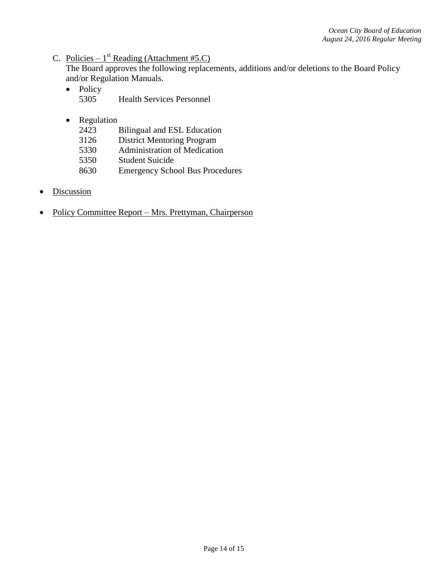C. Policies –  $1^{st}$  Reading (Attachment #5.C)

The Board approves the following replacements, additions and/or deletions to the Board Policy and/or Regulation Manuals.

- Policy
	- 5305 Health Services Personnel
- Regulation
	- 2423 Bilingual and ESL Education
	- 3126 District Mentoring Program<br>5330 Administration of Medicatio
	- Administration of Medication
	- 5350 Student Suicide
	- 8630 Emergency School Bus Procedures
- Discussion
- Policy Committee Report Mrs. Prettyman, Chairperson